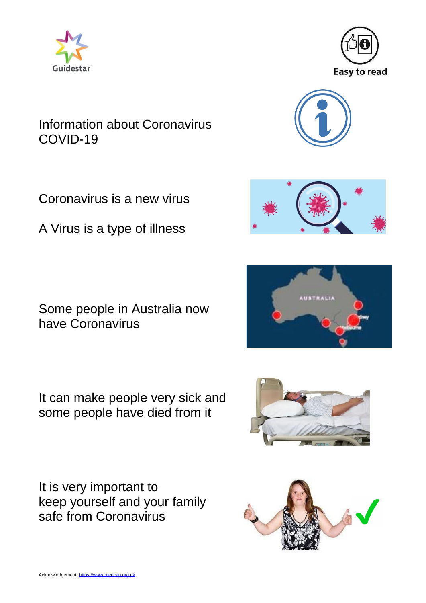



Acknowledgement[: https://www.mencap.org.uk](https://www.mencap.org.uk/homepage)

#### Information about Coronavirus COVID-19

Coronavirus is a new virus

A Virus is a type of illness

Some people in Australia now have Coronavirus

It can make people very sick and some people have died from it











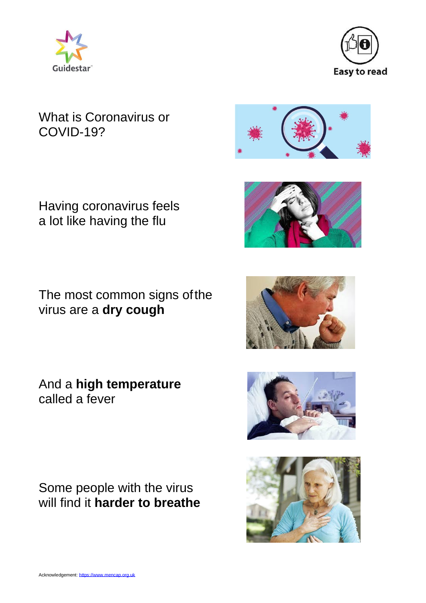



## What is Coronavirus or COVID-19?



Having coronavirus feels a lot like having the flu

The most common signs ofthe virus are a **dry cough**

And a **high temperature** called a fever

Some people with the virus will find it **harder to breathe**





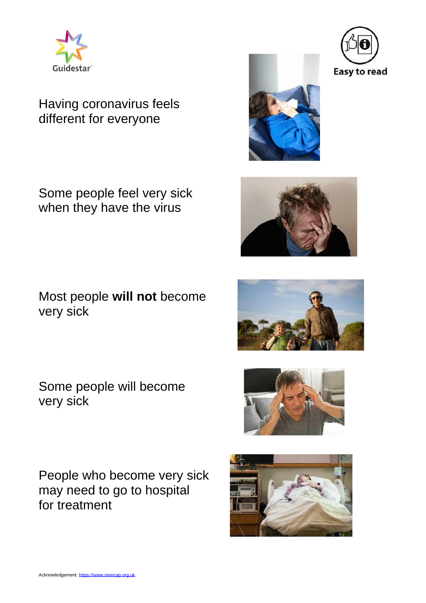

# Having coronavirus feels different for everyone

Some people feel very sick when they have the virus

Most people **will not** become very sick

Some people will become very sick

People who become very sick may need to go to hospital for treatment











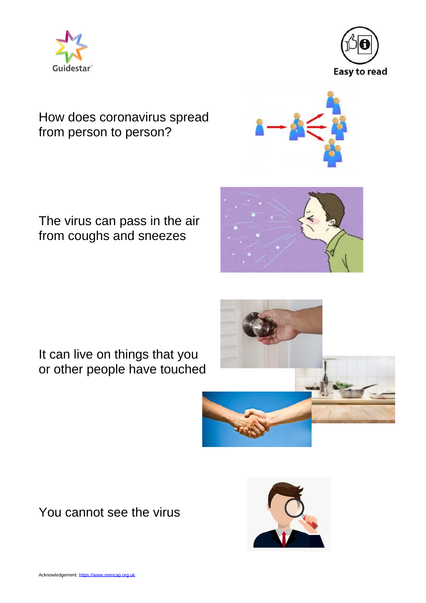



# How does coronavirus spread from person to person?



# The virus can pass in the air from coughs and sneezes

It can live on things that you or other people have touched





You cannot see the virus

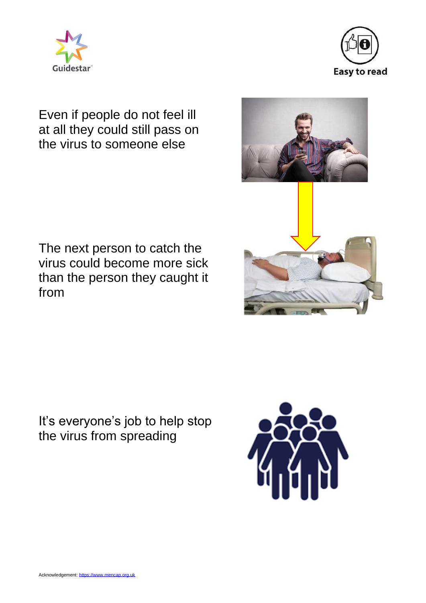



# Even if people do not feel ill at all they could still pass on the virus to someone else

The next person to catch the virus could become more sick than the person they caught it from

It's everyone's job to help stop the virus from spreading



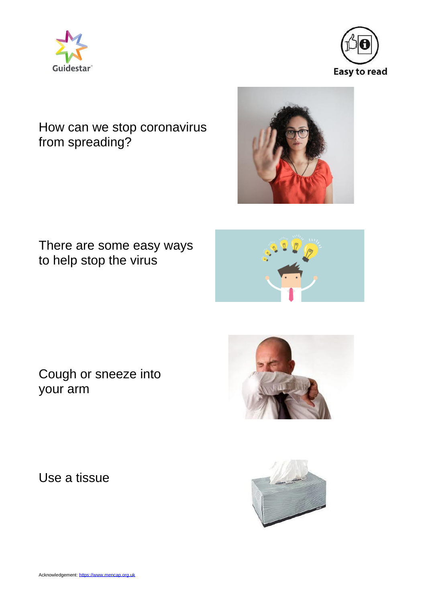



# How can we stop coronavirus from spreading?

#### There are some easy ways to help stop the virus



Cough or sneeze into your arm

Use a tissue



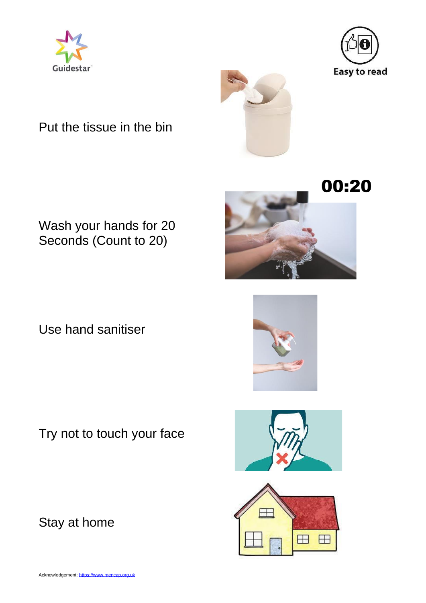



Put the tissue in the bin



# 00:20

# Wash your hands for 20 Seconds (Count to 20)

Use hand sanitiser

Try not to touch your face

Stay at home





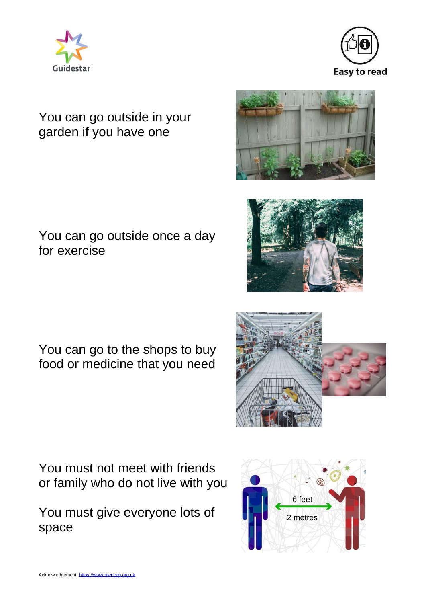



# You can go outside in your garden if you have one

# You can go outside once a day for exercise

You can go to the shops to buy food or medicine that you need

You must not meet with friends or family who do not live with you

You must give everyone lots of space

Acknowledgement[: https://www.mencap.org.uk](https://www.mencap.org.uk/homepage)